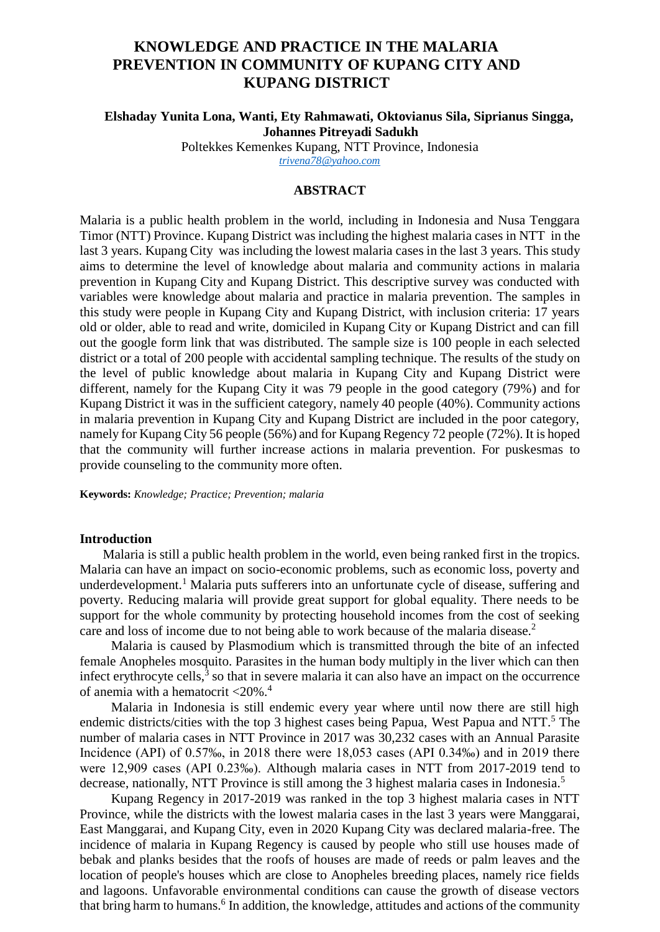# **KNOWLEDGE AND PRACTICE IN THE MALARIA PREVENTION IN COMMUNITY OF KUPANG CITY AND KUPANG DISTRICT**

## **Elshaday Yunita Lona, Wanti, Ety Rahmawati, Oktovianus Sila, Siprianus Singga, Johannes Pitreyadi Sadukh**

Poltekkes Kemenkes Kupang, NTT Province, Indonesia *[trivena78@yahoo.com](mailto:trivena78@yahoo.com)*

## **ABSTRACT**

Malaria is a public health problem in the world, including in Indonesia and Nusa Tenggara Timor (NTT) Province. Kupang District was including the highest malaria cases in NTT in the last 3 years. Kupang City was including the lowest malaria cases in the last 3 years. This study aims to determine the level of knowledge about malaria and community actions in malaria prevention in Kupang City and Kupang District. This descriptive survey was conducted with variables were knowledge about malaria and practice in malaria prevention. The samples in this study were people in Kupang City and Kupang District, with inclusion criteria: 17 years old or older, able to read and write, domiciled in Kupang City or Kupang District and can fill out the google form link that was distributed. The sample size is 100 people in each selected district or a total of 200 people with accidental sampling technique. The results of the study on the level of public knowledge about malaria in Kupang City and Kupang District were different, namely for the Kupang City it was 79 people in the good category (79%) and for Kupang District it was in the sufficient category, namely 40 people (40%). Community actions in malaria prevention in Kupang City and Kupang District are included in the poor category, namely for Kupang City 56 people (56%) and for Kupang Regency 72 people (72%). It is hoped that the community will further increase actions in malaria prevention. For puskesmas to provide counseling to the community more often.

**Keywords:** *Knowledge; Practice; Prevention; malaria*

#### **Introduction**

Malaria is still a public health problem in the world, even being ranked first in the tropics. Malaria can have an impact on socio-economic problems, such as economic loss, poverty and underdevelopment.<sup>1</sup> Malaria puts sufferers into an unfortunate cycle of disease, suffering and poverty. Reducing malaria will provide great support for global equality. There needs to be support for the whole community by protecting household incomes from the cost of seeking care and loss of income due to not being able to work because of the malaria disease. 2

Malaria is caused by Plasmodium which is transmitted through the bite of an infected female Anopheles mosquito. Parasites in the human body multiply in the liver which can then infect erythrocyte cells, $3$  so that in severe malaria it can also have an impact on the occurrence of anemia with a hematocrit  $\langle 20\% \rangle$ .<sup>4</sup>

Malaria in Indonesia is still endemic every year where until now there are still high endemic districts/cities with the top 3 highest cases being Papua, West Papua and NTT.<sup>5</sup> The number of malaria cases in NTT Province in 2017 was 30,232 cases with an Annual Parasite Incidence (API) of 0.57‰, in 2018 there were 18,053 cases (API 0.34‰) and in 2019 there were 12,909 cases (API 0.23‰). Although malaria cases in NTT from 2017-2019 tend to decrease, nationally, NTT Province is still among the 3 highest malaria cases in Indonesia.<sup>5</sup>

Kupang Regency in 2017-2019 was ranked in the top 3 highest malaria cases in NTT Province, while the districts with the lowest malaria cases in the last 3 years were Manggarai, East Manggarai, and Kupang City, even in 2020 Kupang City was declared malaria-free. The incidence of malaria in Kupang Regency is caused by people who still use houses made of bebak and planks besides that the roofs of houses are made of reeds or palm leaves and the location of people's houses which are close to Anopheles breeding places, namely rice fields and lagoons. Unfavorable environmental conditions can cause the growth of disease vectors that bring harm to humans.<sup>6</sup> In addition, the knowledge, attitudes and actions of the community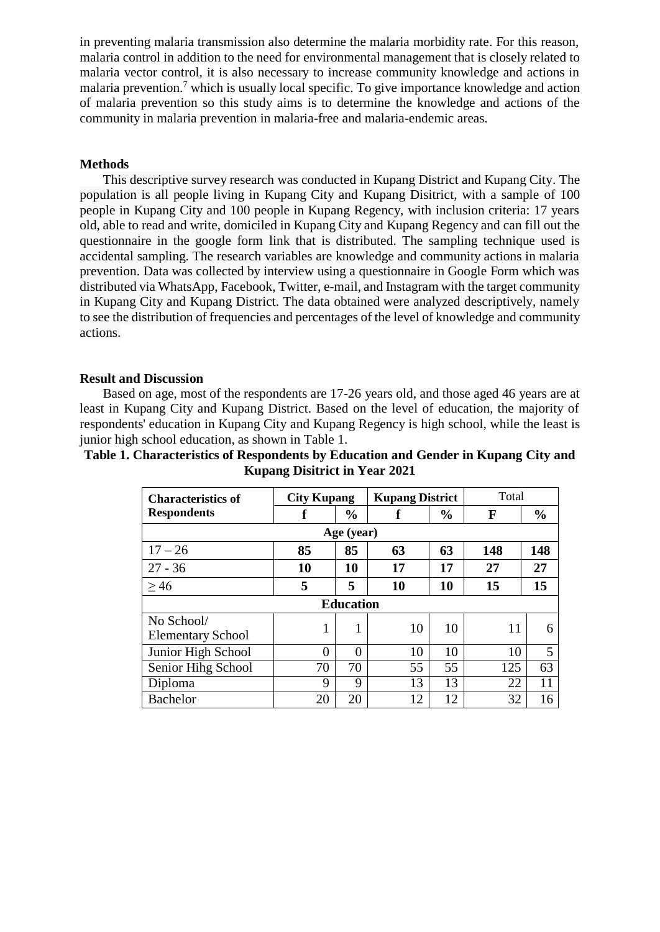in preventing malaria transmission also determine the malaria morbidity rate. For this reason, malaria control in addition to the need for environmental management that is closely related to malaria vector control, it is also necessary to increase community knowledge and actions in malaria prevention.<sup>7</sup> which is usually local specific. To give importance knowledge and action of malaria prevention so this study aims is to determine the knowledge and actions of the community in malaria prevention in malaria-free and malaria-endemic areas.

## **Methods**

This descriptive survey research was conducted in Kupang District and Kupang City. The population is all people living in Kupang City and Kupang Disitrict, with a sample of 100 people in Kupang City and 100 people in Kupang Regency, with inclusion criteria: 17 years old, able to read and write, domiciled in Kupang City and Kupang Regency and can fill out the questionnaire in the google form link that is distributed. The sampling technique used is accidental sampling. The research variables are knowledge and community actions in malaria prevention. Data was collected by interview using a questionnaire in Google Form which was distributed via WhatsApp, Facebook, Twitter, e-mail, and Instagram with the target community in Kupang City and Kupang District. The data obtained were analyzed descriptively, namely to see the distribution of frequencies and percentages of the level of knowledge and community actions.

#### **Result and Discussion**

Based on age, most of the respondents are 17-26 years old, and those aged 46 years are at least in Kupang City and Kupang District. Based on the level of education, the majority of respondents' education in Kupang City and Kupang Regency is high school, while the least is junior high school education, as shown in Table 1.

| Table 1. Characteristics of Respondents by Education and Gender in Kupang City and |  |
|------------------------------------------------------------------------------------|--|
| <b>Kupang Disitrict in Year 2021</b>                                               |  |

| <b>Characteristics of</b>              | <b>City Kupang</b> |               | <b>Kupang District</b> |               | Total |               |  |  |  |  |
|----------------------------------------|--------------------|---------------|------------------------|---------------|-------|---------------|--|--|--|--|
| <b>Respondents</b>                     |                    | $\frac{0}{0}$ | f                      | $\frac{0}{0}$ | F     | $\frac{0}{0}$ |  |  |  |  |
| Age (year)                             |                    |               |                        |               |       |               |  |  |  |  |
| $17 - 26$                              | 85                 | 85            | 63                     | 63            | 148   | 148           |  |  |  |  |
| $27 - 36$                              | 10                 | 10            | 17                     | 17            | 27    | 27            |  |  |  |  |
| >46                                    | 5                  | 5             | 10                     | 10            | 15    | 15            |  |  |  |  |
| <b>Education</b>                       |                    |               |                        |               |       |               |  |  |  |  |
| No School/<br><b>Elementary School</b> |                    |               | 10                     | 10            | 11    | 6             |  |  |  |  |
| Junior High School                     | 0                  | 0             | 10                     | 10            | 10    | 5             |  |  |  |  |
| Senior Hihg School                     | 70                 | 70            | 55                     | 55            | 125   | 63            |  |  |  |  |
| Diploma                                | 9                  | 9             | 13                     | 13            | 22    | 11            |  |  |  |  |
| <b>Bachelor</b>                        | 20                 | 20            | 12                     | 12            | 32    | 16            |  |  |  |  |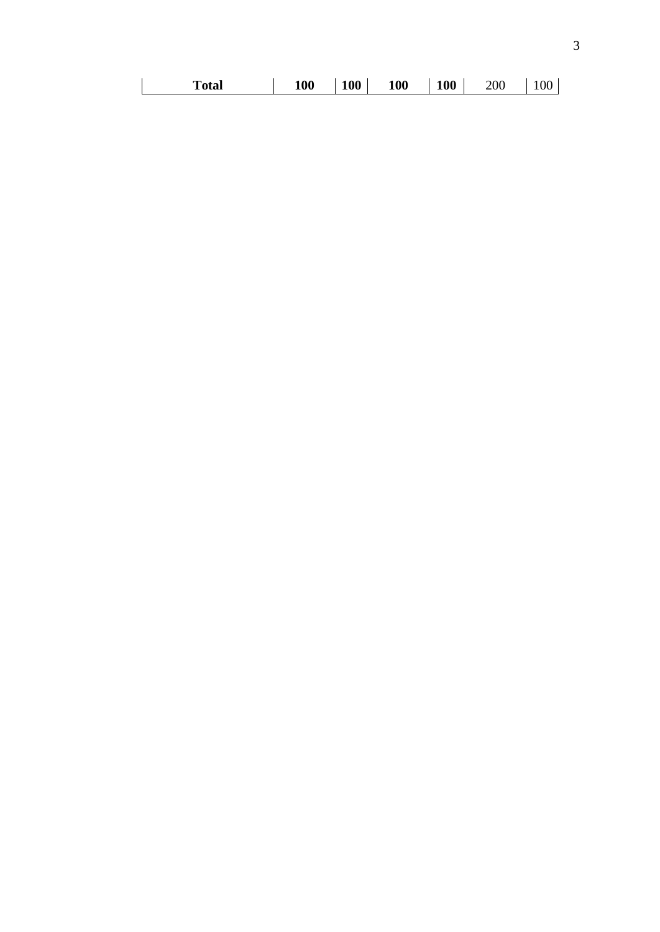|  | Total | <b>100</b> | 100 | 100 | <b>100</b> | 200 | 00 |
|--|-------|------------|-----|-----|------------|-----|----|
|--|-------|------------|-----|-----|------------|-----|----|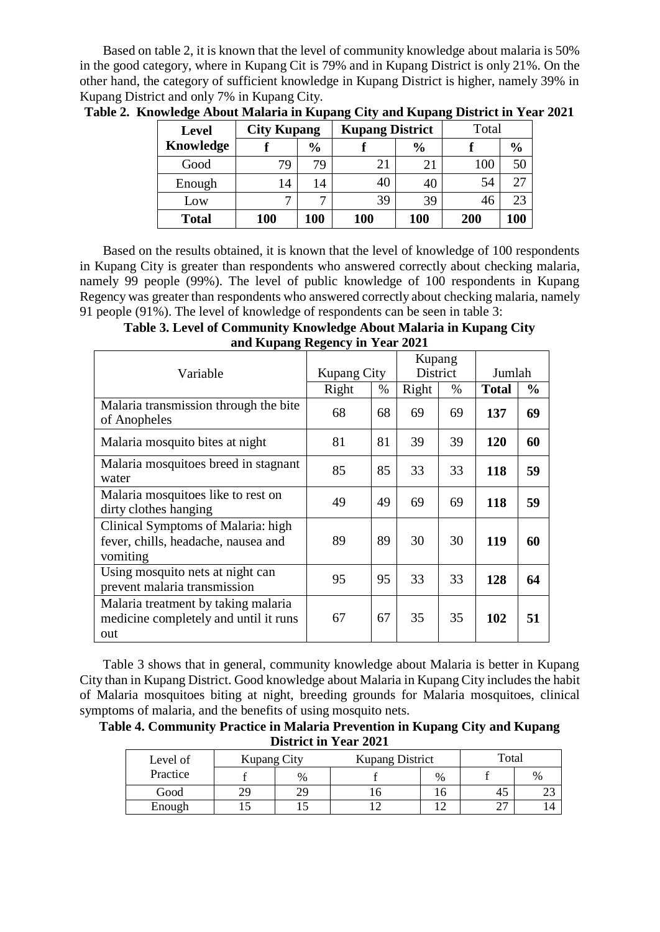Based on table 2, it is known that the level of community knowledge about malaria is 50% in the good category, where in Kupang Cit is 79% and in Kupang District is only 21%. On the other hand, the category of sufficient knowledge in Kupang District is higher, namely 39% in Kupang District and only 7% in Kupang City.

| <b>Level</b> |              | <b>Kupang District</b><br><b>City Kupang</b> |     |               | Total |               |  |
|--------------|--------------|----------------------------------------------|-----|---------------|-------|---------------|--|
| Knowledge    |              | $\frac{0}{0}$                                |     | $\frac{0}{0}$ |       | $\frac{6}{9}$ |  |
| Good         | 79           | 79                                           | 21  | 21            | 100   | 50            |  |
| Enough       | 14           | 14                                           | 40  | 40            | 54    | 27            |  |
| Low          | $\mathbf{r}$ | $\mathbf{r}$                                 | 39  | 39            | 46    | 23            |  |
| <b>Total</b> | <b>100</b>   | 100                                          | 100 | <b>100</b>    | 200   | 100           |  |

**Table 2. Knowledge About Malaria in Kupang City and Kupang District in Year 2021**

Based on the results obtained, it is known that the level of knowledge of 100 respondents in Kupang City is greater than respondents who answered correctly about checking malaria, namely 99 people (99%). The level of public knowledge of 100 respondents in Kupang Regency was greater than respondents who answered correctly about checking malaria, namely 91 people (91%). The level of knowledge of respondents can be seen in table 3:

**Table 3. Level of Community Knowledge About Malaria in Kupang City and Kupang Regency in Year 2021**

| Variable                                                                              | <b>Kupang City</b> |      | Kupang<br>District |      | Jumlah       |               |
|---------------------------------------------------------------------------------------|--------------------|------|--------------------|------|--------------|---------------|
|                                                                                       | Right              | $\%$ | Right              | $\%$ | <b>Total</b> | $\frac{0}{0}$ |
| Malaria transmission through the bite<br>of Anopheles                                 | 68                 | 68   | 69                 | 69   | 137          | 69            |
| Malaria mosquito bites at night                                                       | 81                 | 81   | 39                 | 39   | 120          | 60            |
| Malaria mosquitoes breed in stagnant<br>water                                         | 85                 | 85   | 33                 | 33   | 118          | 59            |
| Malaria mosquitoes like to rest on<br>dirty clothes hanging                           | 49                 | 49   | 69                 | 69   | 118          | 59            |
| Clinical Symptoms of Malaria: high<br>fever, chills, headache, nausea and<br>vomiting | 89                 | 89   | 30                 | 30   | 119          | 60            |
| Using mosquito nets at night can<br>prevent malaria transmission                      | 95                 | 95   | 33                 | 33   | 128          | 64            |
| Malaria treatment by taking malaria<br>medicine completely and until it runs<br>out   | 67                 | 67   | 35                 | 35   | 102          | 51            |

Table 3 shows that in general, community knowledge about Malaria is better in Kupang City than in Kupang District. Good knowledge about Malaria in Kupang City includes the habit of Malaria mosquitoes biting at night, breeding grounds for Malaria mosquitoes, clinical symptoms of malaria, and the benefits of using mosquito nets.

**Table 4. Community Practice in Malaria Prevention in Kupang City and Kupang District in Year 2021**

| Level of | <b>Kupang City</b> |    | <b>Kupang District</b> | Total |        |      |
|----------|--------------------|----|------------------------|-------|--------|------|
| Practice |                    | %  |                        | $\%$  |        | $\%$ |
| Good     | 29                 | 29 |                        |       |        | ر _  |
| Enough   |                    |    |                        |       | $\sim$ | 14   |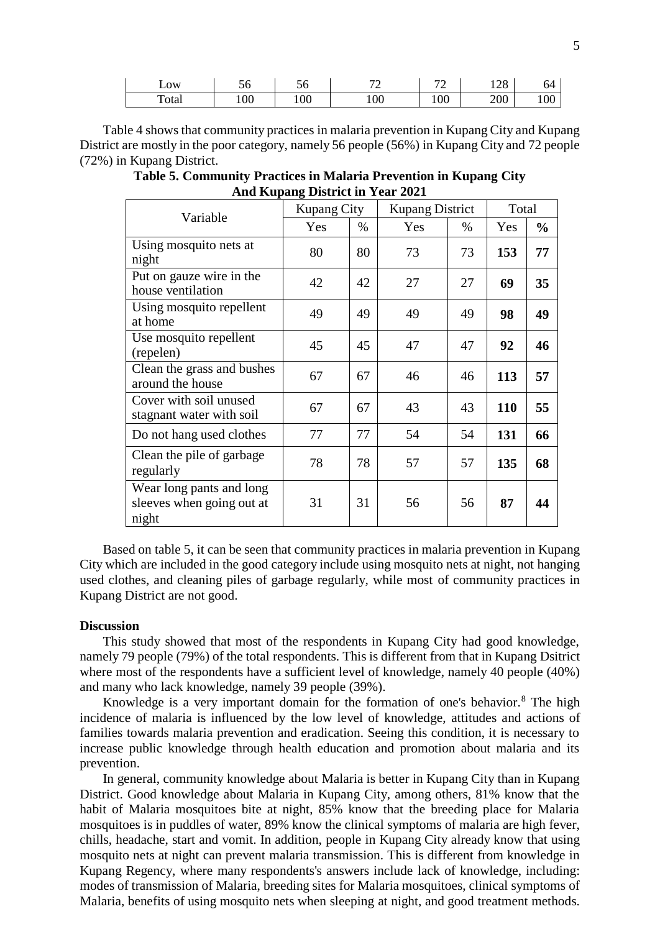| LOW   | υu  | -<br>◝<br>JU | $\overline{\phantom{a}}$<br>- | $\overline{\phantom{a}}$<br>∽ | 100<br>140 | 04  |
|-------|-----|--------------|-------------------------------|-------------------------------|------------|-----|
| Total | 100 | 100          | 100                           | 100                           | 200        | 100 |

Table 4 showsthat community practices in malaria prevention in Kupang City and Kupang District are mostly in the poor category, namely 56 people (56%) in Kupang City and 72 people (72%) in Kupang District.

**Table 5. Community Practices in Malaria Prevention in Kupang City And Kupang District in Year 2021**

| Variable                                                       | Kupang City |      | <b>Kupang District</b> | Total |     |               |
|----------------------------------------------------------------|-------------|------|------------------------|-------|-----|---------------|
|                                                                | Yes         | $\%$ | Yes                    | $\%$  | Yes | $\frac{0}{0}$ |
| Using mosquito nets at<br>night                                | 80          | 80   | 73                     | 73    | 153 | 77            |
| Put on gauze wire in the<br>house ventilation                  | 42          | 42   | 27                     | 27    | 69  | 35            |
| Using mosquito repellent<br>at home                            | 49          | 49   | 49                     | 49    | 98  | 49            |
| Use mosquito repellent<br>(repelen)                            | 45          | 45   | 47                     | 47    | 92  | 46            |
| Clean the grass and bushes<br>around the house                 | 67          | 67   | 46                     | 46    | 113 | 57            |
| Cover with soil unused<br>stagnant water with soil             | 67          | 67   | 43                     | 43    | 110 | 55            |
| Do not hang used clothes                                       | 77          | 77   | 54                     | 54    | 131 | 66            |
| Clean the pile of garbage<br>regularly                         | 78          | 78   | 57                     | 57    | 135 | 68            |
| Wear long pants and long<br>sleeves when going out at<br>night | 31          | 31   | 56                     | 56    | 87  | 44            |

Based on table 5, it can be seen that community practices in malaria prevention in Kupang City which are included in the good category include using mosquito nets at night, not hanging used clothes, and cleaning piles of garbage regularly, while most of community practices in Kupang District are not good.

#### **Discussion**

This study showed that most of the respondents in Kupang City had good knowledge, namely 79 people (79%) of the total respondents. This is different from that in Kupang Dsitrict where most of the respondents have a sufficient level of knowledge, namely 40 people (40%) and many who lack knowledge, namely 39 people (39%).

Knowledge is a very important domain for the formation of one's behavior.<sup>8</sup> The high incidence of malaria is influenced by the low level of knowledge, attitudes and actions of families towards malaria prevention and eradication. Seeing this condition, it is necessary to increase public knowledge through health education and promotion about malaria and its prevention.

In general, community knowledge about Malaria is better in Kupang City than in Kupang District. Good knowledge about Malaria in Kupang City, among others, 81% know that the habit of Malaria mosquitoes bite at night, 85% know that the breeding place for Malaria mosquitoes is in puddles of water, 89% know the clinical symptoms of malaria are high fever, chills, headache, start and vomit. In addition, people in Kupang City already know that using mosquito nets at night can prevent malaria transmission. This is different from knowledge in Kupang Regency, where many respondents's answers include lack of knowledge, including: modes of transmission of Malaria, breeding sites for Malaria mosquitoes, clinical symptoms of Malaria, benefits of using mosquito nets when sleeping at night, and good treatment methods.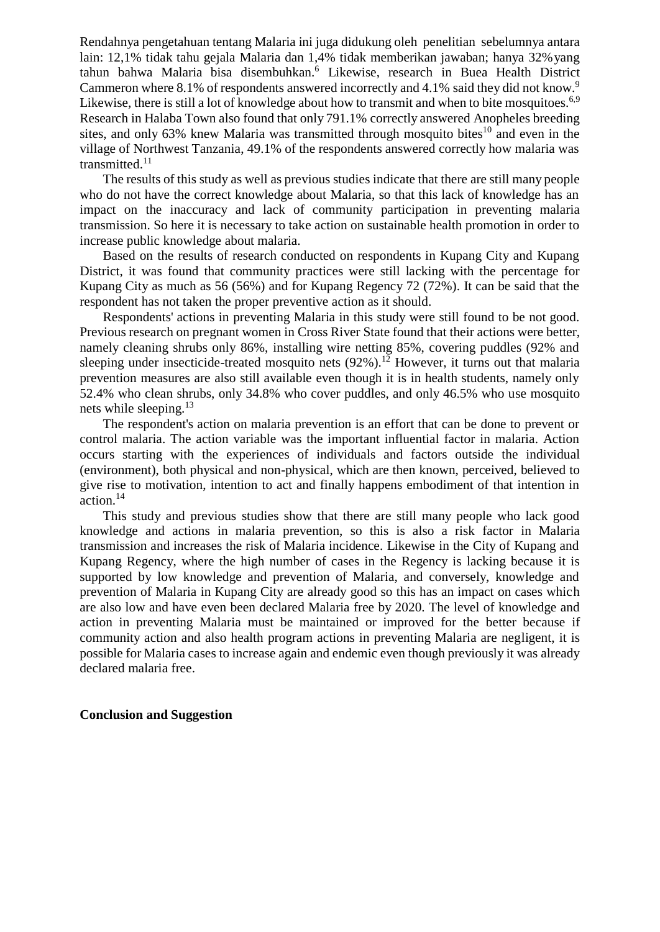Rendahnya pengetahuan tentang Malaria ini juga didukung oleh penelitian sebelumnya antara lain: 12,1% tidak tahu gejala Malaria dan 1,4% tidak memberikan jawaban; hanya 32% yang tahun bahwa Malaria bisa disembuhkan.<sup>6</sup> Likewise, research in Buea Health District Cammeron where 8.1% of respondents answered incorrectly and 4.1% said they did not know.<sup>9</sup> Likewise, there is still a lot of knowledge about how to transmit and when to bite mosquitoes.<sup>6,9</sup> Research in Halaba Town also found that only 791.1% correctly answered Anopheles breeding sites, and only 63% knew Malaria was transmitted through mosquito bites<sup>10</sup> and even in the village of Northwest Tanzania, 49.1% of the respondents answered correctly how malaria was transmitted. $11$ 

The results of this study as well as previous studies indicate that there are still many people who do not have the correct knowledge about Malaria, so that this lack of knowledge has an impact on the inaccuracy and lack of community participation in preventing malaria transmission. So here it is necessary to take action on sustainable health promotion in order to increase public knowledge about malaria.

Based on the results of research conducted on respondents in Kupang City and Kupang District, it was found that community practices were still lacking with the percentage for Kupang City as much as 56 (56%) and for Kupang Regency 72 (72%). It can be said that the respondent has not taken the proper preventive action as it should.

Respondents' actions in preventing Malaria in this study were still found to be not good. Previous research on pregnant women in Cross River State found that their actions were better, namely cleaning shrubs only 86%, installing wire netting 85%, covering puddles (92% and sleeping under insecticide-treated mosquito nets  $(92\%)$ .<sup>12</sup> However, it turns out that malaria prevention measures are also still available even though it is in health students, namely only 52.4% who clean shrubs, only 34.8% who cover puddles, and only 46.5% who use mosquito nets while sleeping.<sup>13</sup>

The respondent's action on malaria prevention is an effort that can be done to prevent or control malaria. The action variable was the important influential factor in malaria. Action occurs starting with the experiences of individuals and factors outside the individual (environment), both physical and non-physical, which are then known, perceived, believed to give rise to motivation, intention to act and finally happens embodiment of that intention in action.<sup>14</sup>

This study and previous studies show that there are still many people who lack good knowledge and actions in malaria prevention, so this is also a risk factor in Malaria transmission and increases the risk of Malaria incidence. Likewise in the City of Kupang and Kupang Regency, where the high number of cases in the Regency is lacking because it is supported by low knowledge and prevention of Malaria, and conversely, knowledge and prevention of Malaria in Kupang City are already good so this has an impact on cases which are also low and have even been declared Malaria free by 2020. The level of knowledge and action in preventing Malaria must be maintained or improved for the better because if community action and also health program actions in preventing Malaria are negligent, it is possible for Malaria cases to increase again and endemic even though previously it was already declared malaria free.

## **Conclusion and Suggestion**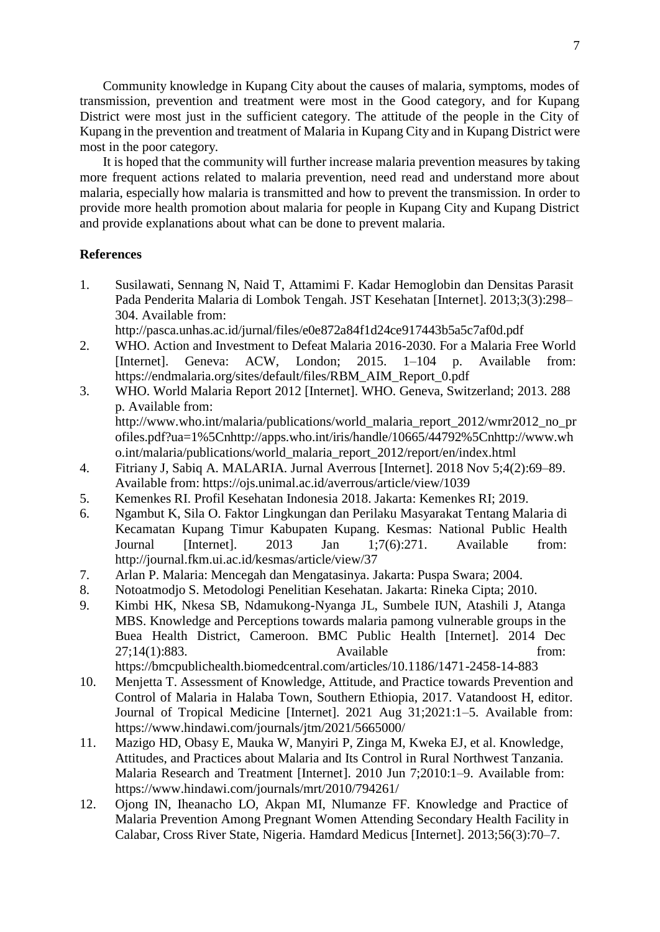Community knowledge in Kupang City about the causes of malaria, symptoms, modes of transmission, prevention and treatment were most in the Good category, and for Kupang District were most just in the sufficient category. The attitude of the people in the City of Kupang in the prevention and treatment of Malaria in Kupang City and in Kupang District were most in the poor category.

It is hoped that the community will further increase malaria prevention measures by taking more frequent actions related to malaria prevention, need read and understand more about malaria, especially how malaria is transmitted and how to prevent the transmission. In order to provide more health promotion about malaria for people in Kupang City and Kupang District and provide explanations about what can be done to prevent malaria.

#### **References**

- 1. Susilawati, Sennang N, Naid T, Attamimi F. Kadar Hemoglobin dan Densitas Parasit Pada Penderita Malaria di Lombok Tengah. JST Kesehatan [Internet]. 2013;3(3):298– 304. Available from:
	- <http://pasca.unhas.ac.id/jurnal/files/e0e872a84f1d24ce917443b5a5c7af0d.pdf>
- 2. WHO. Action and Investment to Defeat Malaria 2016-2030. For a Malaria Free World [Internet]. Geneva: ACW, London; 2015. 1–104 p. Available from: https://endmalaria.org/sites/default/files/RBM\_AIM\_Report\_0.pdf
- 3. WHO. World Malaria Report 2012 [Internet]. WHO. Geneva, Switzerland; 2013. 288 p. Available from: [http://www.who.int/malaria/publications/world\\_malaria\\_report\\_2012/wmr2012\\_no\\_pr](http://www.who.int/malaria/publications/world_malaria_report_2012/wmr2012_no_pr) ofiles.pdf?ua=1%5Cnhttp://apps.who.int/iris/handle/10665/44792%5Cnhttp://www.wh
- o.int/malaria/publications/world\_malaria\_report\_2012/report/en/index.html 4. Fitriany J, Sabiq A. MALARIA. Jurnal Averrous [Internet]. 2018 Nov 5;4(2):69–89. Available from: https://ojs.unimal.ac.id/averrous/article/view/1039
- 5. Kemenkes RI. Profil Kesehatan Indonesia 2018. Jakarta: Kemenkes RI; 2019.
- 6. Ngambut K, Sila O. Faktor Lingkungan dan Perilaku Masyarakat Tentang Malaria di Kecamatan Kupang Timur Kabupaten Kupang. Kesmas: National Public Health Journal [Internet]. 2013 Jan 1;7(6):271. Available from: <http://journal.fkm.ui.ac.id/kesmas/article/view/37>
- 7. Arlan P. Malaria: Mencegah dan Mengatasinya. Jakarta: Puspa Swara; 2004.
- 8. Notoatmodjo S. Metodologi Penelitian Kesehatan. Jakarta: Rineka Cipta; 2010.
- 9. Kimbi HK, Nkesa SB, Ndamukong-Nyanga JL, Sumbele IUN, Atashili J, Atanga MBS. Knowledge and Perceptions towards malaria pamong vulnerable groups in the Buea Health District, Cameroon. BMC Public Health [Internet]. 2014 Dec 27;14(1):883. Available from: https://bmcpublichealth.biomedcentral.com/articles/10.1186/1471-2458-14-883
- 10. Menjetta T. Assessment of Knowledge, Attitude, and Practice towards Prevention and Control of Malaria in Halaba Town, Southern Ethiopia, 2017. Vatandoost H, editor. Journal of Tropical Medicine [Internet]. 2021 Aug 31;2021:1–5. Available from: https:[//www.hindawi.com/journals/jtm/2021/5665000/](http://www.hindawi.com/journals/jtm/2021/5665000/)
- 11. Mazigo HD, Obasy E, Mauka W, Manyiri P, Zinga M, Kweka EJ, et al. Knowledge, Attitudes, and Practices about Malaria and Its Control in Rural Northwest Tanzania. Malaria Research and Treatment [Internet]. 2010 Jun 7;2010:1–9. Available from: https:[//www.hindawi.com/journals/mrt/2010/794261/](http://www.hindawi.com/journals/mrt/2010/794261/)
- 12. Ojong IN, Iheanacho LO, Akpan MI, Nlumanze FF. Knowledge and Practice of Malaria Prevention Among Pregnant Women Attending Secondary Health Facility in Calabar, Cross River State, Nigeria. Hamdard Medicus [Internet]. 2013;56(3):70–7.